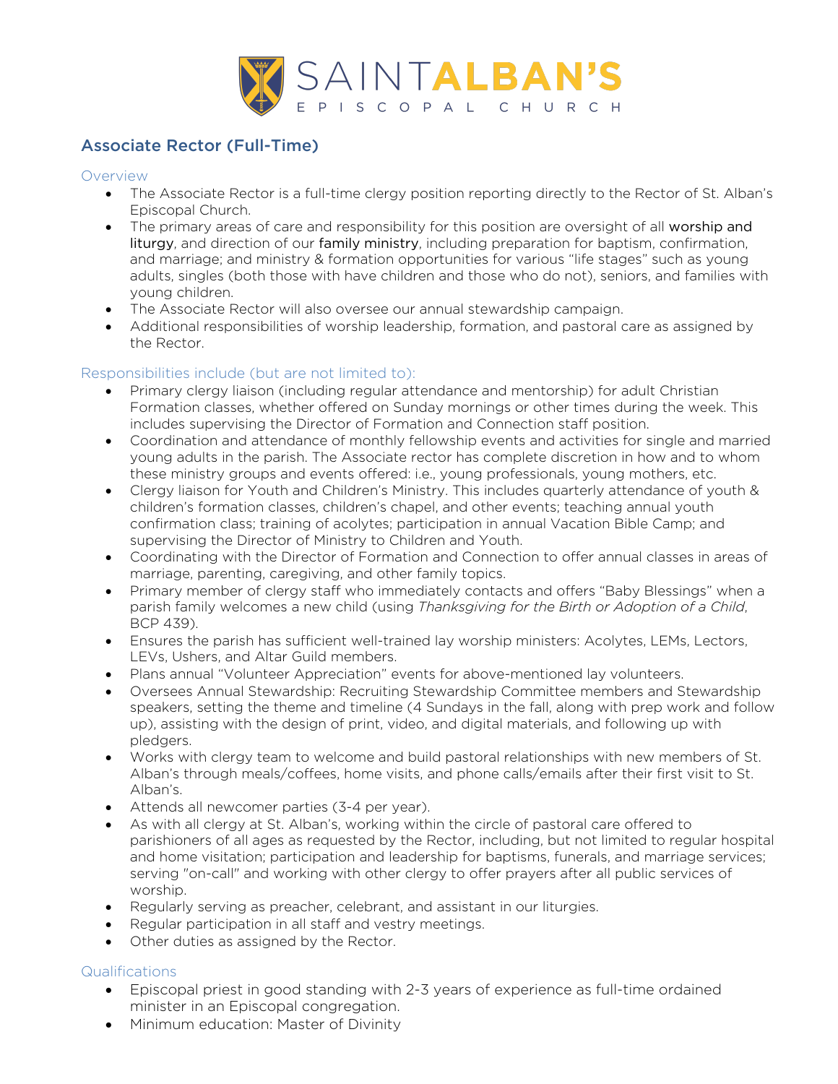

# Associate Rector (Full-Time)

#### Overview

- The Associate Rector is a full-time clergy position reporting directly to the Rector of St. Alban's Episcopal Church.
- The primary areas of care and responsibility for this position are oversight of all worship and liturgy, and direction of our family ministry, including preparation for baptism, confirmation, and marriage; and ministry & formation opportunities for various "life stages" such as young adults, singles (both those with have children and those who do not), seniors, and families with young children.
- The Associate Rector will also oversee our annual stewardship campaign.
- Additional responsibilities of worship leadership, formation, and pastoral care as assigned by the Rector.

## Responsibilities include (but are not limited to):

- Primary clergy liaison (including regular attendance and mentorship) for adult Christian Formation classes, whether offered on Sunday mornings or other times during the week. This includes supervising the Director of Formation and Connection staff position.
- Coordination and attendance of monthly fellowship events and activities for single and married young adults in the parish. The Associate rector has complete discretion in how and to whom these ministry groups and events offered: i.e., young professionals, young mothers, etc.
- Clergy liaison for Youth and Children's Ministry. This includes quarterly attendance of youth & children's formation classes, children's chapel, and other events; teaching annual youth confirmation class; training of acolytes; participation in annual Vacation Bible Camp; and supervising the Director of Ministry to Children and Youth.
- Coordinating with the Director of Formation and Connection to offer annual classes in areas of marriage, parenting, caregiving, and other family topics.
- Primary member of clergy staff who immediately contacts and offers "Baby Blessings" when a parish family welcomes a new child (using *Thanksgiving for the Birth or Adoption of a Child*, BCP 439).
- Ensures the parish has sufficient well-trained lay worship ministers: Acolytes, LEMs, Lectors, LEVs, Ushers, and Altar Guild members.
- Plans annual "Volunteer Appreciation" events for above-mentioned lay volunteers.
- Oversees Annual Stewardship: Recruiting Stewardship Committee members and Stewardship speakers, setting the theme and timeline (4 Sundays in the fall, along with prep work and follow up), assisting with the design of print, video, and digital materials, and following up with pledgers.
- Works with clergy team to welcome and build pastoral relationships with new members of St. Alban's through meals/coffees, home visits, and phone calls/emails after their first visit to St. Alban's.
- Attends all newcomer parties (3-4 per year).
- As with all clergy at St. Alban's, working within the circle of pastoral care offered to parishioners of all ages as requested by the Rector, including, but not limited to regular hospital and home visitation; participation and leadership for baptisms, funerals, and marriage services; serving "on-call" and working with other clergy to offer prayers after all public services of worship.
- Regularly serving as preacher, celebrant, and assistant in our liturgies.
- Regular participation in all staff and vestry meetings.
- Other duties as assigned by the Rector.

### Qualifications

- Episcopal priest in good standing with 2-3 years of experience as full-time ordained minister in an Episcopal congregation.
- Minimum education: Master of Divinity